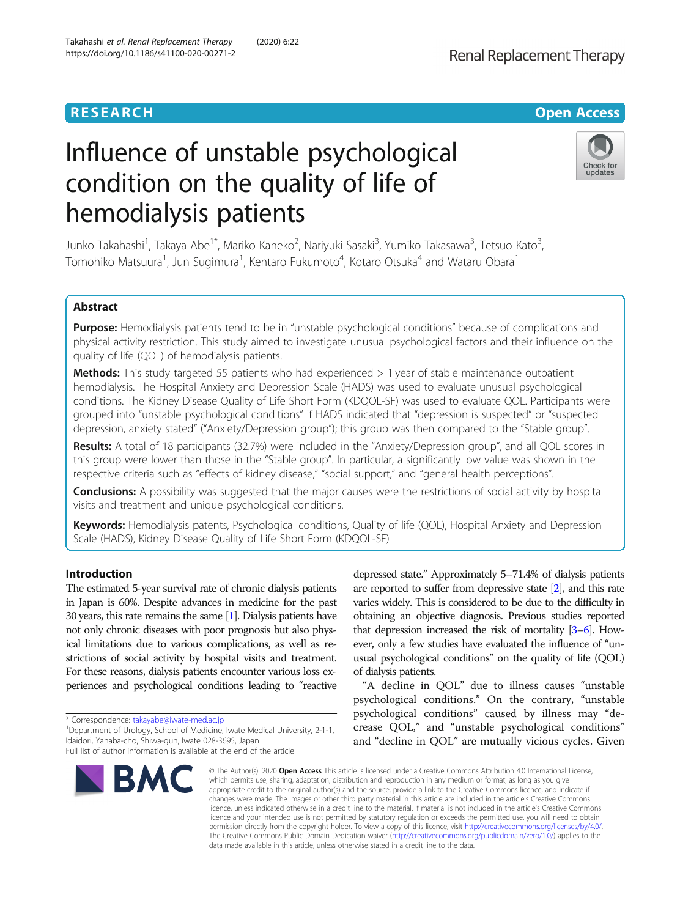# **RESEARCH CHE Open Access**

# Influence of unstable psychological condition on the quality of life of hemodialysis patients

Junko Takahashi<sup>1</sup>, Takaya Abe<sup>1\*</sup>, Mariko Kaneko<sup>2</sup>, Nariyuki Sasaki<sup>3</sup>, Yumiko Takasawa<sup>3</sup>, Tetsuo Kato<sup>3</sup> , Tomohiko Matsuura<sup>1</sup>, Jun Sugimura<sup>1</sup>, Kentaro Fukumoto<sup>4</sup>, Kotaro Otsuka<sup>4</sup> and Wataru Obara<sup>1</sup>

# Abstract

Purpose: Hemodialysis patients tend to be in "unstable psychological conditions" because of complications and physical activity restriction. This study aimed to investigate unusual psychological factors and their influence on the quality of life (QOL) of hemodialysis patients.

Methods: This study targeted 55 patients who had experienced > 1 year of stable maintenance outpatient hemodialysis. The Hospital Anxiety and Depression Scale (HADS) was used to evaluate unusual psychological conditions. The Kidney Disease Quality of Life Short Form (KDQOL-SF) was used to evaluate QOL. Participants were grouped into "unstable psychological conditions" if HADS indicated that "depression is suspected" or "suspected depression, anxiety stated" ("Anxiety/Depression group"); this group was then compared to the "Stable group".

Results: A total of 18 participants (32.7%) were included in the "Anxiety/Depression group", and all QOL scores in this group were lower than those in the "Stable group". In particular, a significantly low value was shown in the respective criteria such as "effects of kidney disease," "social support," and "general health perceptions".

**Conclusions:** A possibility was suggested that the major causes were the restrictions of social activity by hospital visits and treatment and unique psychological conditions.

Keywords: Hemodialysis patents, Psychological conditions, Quality of life (QOL), Hospital Anxiety and Depression Scale (HADS), Kidney Disease Quality of Life Short Form (KDQOL-SF)

# Introduction

The estimated 5-year survival rate of chronic dialysis patients in Japan is 60%. Despite advances in medicine for the past 30 years, this rate remains the same [\[1\]](#page-5-0). Dialysis patients have not only chronic diseases with poor prognosis but also physical limitations due to various complications, as well as restrictions of social activity by hospital visits and treatment. For these reasons, dialysis patients encounter various loss experiences and psychological conditions leading to "reactive

\* Correspondence: [takayabe@iwate-med.ac.jp](mailto:takayabe@iwate-med.ac.jp) <sup>1</sup>

<sup>1</sup> Department of Urology, School of Medicine, Iwate Medical University, 2-1-1, Idaidori, Yahaba-cho, Shiwa-gun, Iwate 028-3695, Japan Full list of author information is available at the end of the article



depressed state." Approximately 5–71.4% of dialysis patients are reported to suffer from depressive state [\[2\]](#page-5-0), and this rate varies widely. This is considered to be due to the difficulty in obtaining an objective diagnosis. Previous studies reported that depression increased the risk of mortality [\[3](#page-5-0)–[6\]](#page-5-0). However, only a few studies have evaluated the influence of "unusual psychological conditions" on the quality of life (QOL) of dialysis patients.

"A decline in QOL" due to illness causes "unstable psychological conditions." On the contrary, "unstable psychological conditions" caused by illness may "decrease QOL," and "unstable psychological conditions" and "decline in QOL" are mutually vicious cycles. Given

© The Author(s), 2020 **Open Access** This article is licensed under a Creative Commons Attribution 4.0 International License, which permits use, sharing, adaptation, distribution and reproduction in any medium or format, as long as you give appropriate credit to the original author(s) and the source, provide a link to the Creative Commons licence, and indicate if changes were made. The images or other third party material in this article are included in the article's Creative Commons licence, unless indicated otherwise in a credit line to the material. If material is not included in the article's Creative Commons licence and your intended use is not permitted by statutory regulation or exceeds the permitted use, you will need to obtain permission directly from the copyright holder. To view a copy of this licence, visit [http://creativecommons.org/licenses/by/4.0/.](http://creativecommons.org/licenses/by/4.0/) The Creative Commons Public Domain Dedication waiver [\(http://creativecommons.org/publicdomain/zero/1.0/](http://creativecommons.org/publicdomain/zero/1.0/)) applies to the data made available in this article, unless otherwise stated in a credit line to the data.

Renal Replacement Therapy

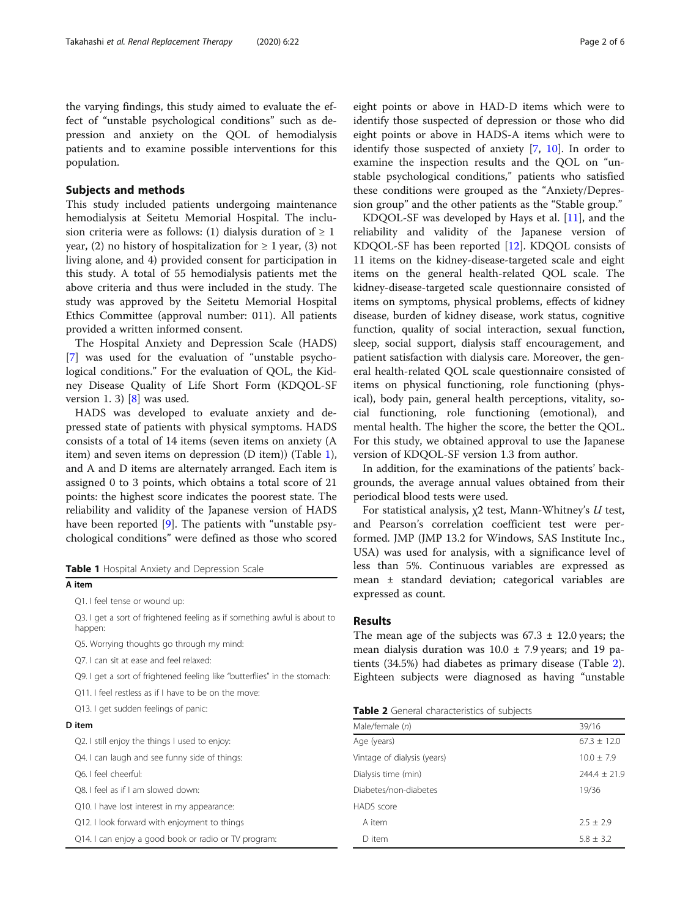the varying findings, this study aimed to evaluate the effect of "unstable psychological conditions" such as depression and anxiety on the QOL of hemodialysis patients and to examine possible interventions for this population.

# Subjects and methods

This study included patients undergoing maintenance hemodialysis at Seitetu Memorial Hospital. The inclusion criteria were as follows: (1) dialysis duration of  $\geq 1$ year, (2) no history of hospitalization for  $\geq 1$  year, (3) not living alone, and 4) provided consent for participation in this study. A total of 55 hemodialysis patients met the above criteria and thus were included in the study. The study was approved by the Seitetu Memorial Hospital Ethics Committee (approval number: 011). All patients provided a written informed consent.

The Hospital Anxiety and Depression Scale (HADS) [[7\]](#page-5-0) was used for the evaluation of "unstable psychological conditions." For the evaluation of QOL, the Kidney Disease Quality of Life Short Form (KDQOL-SF version 1. 3)  $[8]$  $[8]$  was used.

HADS was developed to evaluate anxiety and depressed state of patients with physical symptoms. HADS consists of a total of 14 items (seven items on anxiety (A item) and seven items on depression (D item)) (Table 1), and A and D items are alternately arranged. Each item is assigned 0 to 3 points, which obtains a total score of 21 points: the highest score indicates the poorest state. The reliability and validity of the Japanese version of HADS have been reported [[9\]](#page-5-0). The patients with "unstable psychological conditions" were defined as those who scored

| Table 1 Hospital Anxiety and Depression Scale |  |  |  |  |
|-----------------------------------------------|--|--|--|--|
|-----------------------------------------------|--|--|--|--|

# A item

Q1. I feel tense or wound up:

Q3. I get a sort of frightened feeling as if something awful is about to happen:

Q5. Worrying thoughts go through my mind:

Q7. I can sit at ease and feel relaxed:

Q9. I get a sort of frightened feeling like "butterflies" in the stomach:

Q11. I feel restless as if I have to be on the move:

Q13. I get sudden feelings of panic:

# D item

Q2. I still enjoy the things I used to enjoy:

Q4. I can laugh and see funny side of things:

Q6. I feel cheerful:

Q8. I feel as if I am slowed down:

Q10. I have lost interest in my appearance:

Q12. I look forward with enjoyment to things

Q14. I can enjoy a good book or radio or TV program:

eight points or above in HAD-D items which were to identify those suspected of depression or those who did eight points or above in HADS-A items which were to identify those suspected of anxiety [\[7](#page-5-0), [10\]](#page-5-0). In order to examine the inspection results and the QOL on "unstable psychological conditions," patients who satisfied these conditions were grouped as the "Anxiety/Depression group" and the other patients as the "Stable group."

KDQOL-SF was developed by Hays et al. [\[11\]](#page-5-0), and the reliability and validity of the Japanese version of KDQOL-SF has been reported [\[12\]](#page-5-0). KDQOL consists of 11 items on the kidney-disease-targeted scale and eight items on the general health-related QOL scale. The kidney-disease-targeted scale questionnaire consisted of items on symptoms, physical problems, effects of kidney disease, burden of kidney disease, work status, cognitive function, quality of social interaction, sexual function, sleep, social support, dialysis staff encouragement, and patient satisfaction with dialysis care. Moreover, the general health-related QOL scale questionnaire consisted of items on physical functioning, role functioning (physical), body pain, general health perceptions, vitality, social functioning, role functioning (emotional), and mental health. The higher the score, the better the QOL. For this study, we obtained approval to use the Japanese version of KDQOL-SF version 1.3 from author.

In addition, for the examinations of the patients' backgrounds, the average annual values obtained from their periodical blood tests were used.

For statistical analysis,  $x^2$  test, Mann-Whitney's U test, and Pearson's correlation coefficient test were performed. JMP (JMP 13.2 for Windows, SAS Institute Inc., USA) was used for analysis, with a significance level of less than 5%. Continuous variables are expressed as mean ± standard deviation; categorical variables are expressed as count.

# Results

The mean age of the subjects was  $67.3 \pm 12.0$  years; the mean dialysis duration was  $10.0 \pm 7.9$  years; and 19 patients (34.5%) had diabetes as primary disease (Table 2). Eighteen subjects were diagnosed as having "unstable

#### **Table 2** General characteristics of subjects

| Male/female (n)             | 39/16            |
|-----------------------------|------------------|
| Age (years)                 | $67.3 + 12.0$    |
| Vintage of dialysis (years) | $10.0 + 7.9$     |
| Dialysis time (min)         | $244.4 \pm 21.9$ |
| Diabetes/non-diabetes       | 19/36            |
| HADS score                  |                  |
| A item                      | $2.5 + 2.9$      |
| D item                      | $5.8 + 3.2$      |
|                             |                  |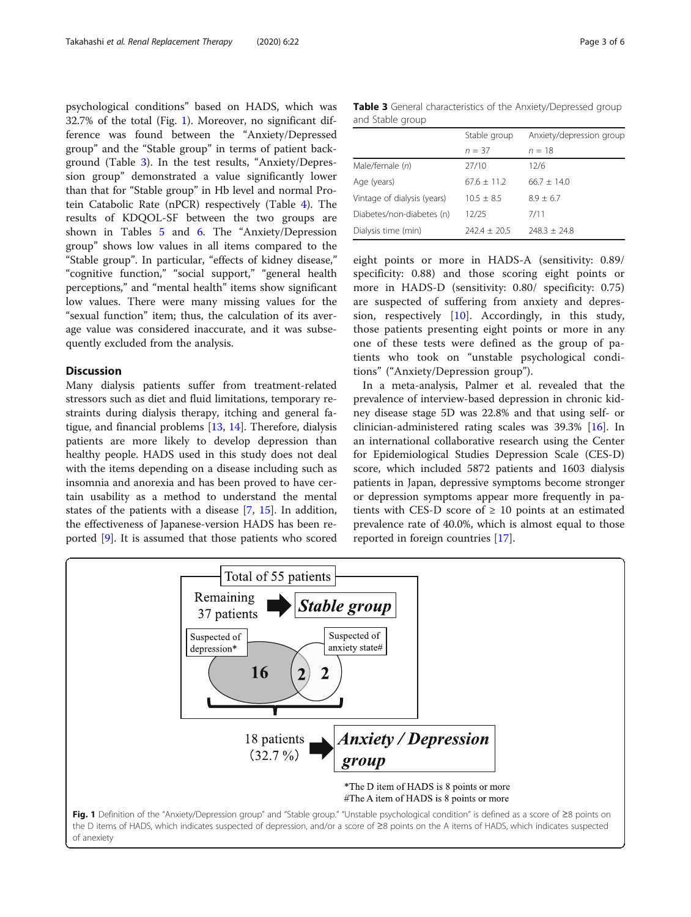psychological conditions" based on HADS, which was 32.7% of the total (Fig. 1). Moreover, no significant difference was found between the "Anxiety/Depressed group" and the "Stable group" in terms of patient background (Table 3). In the test results, "Anxiety/Depression group" demonstrated a value significantly lower than that for "Stable group" in Hb level and normal Protein Catabolic Rate (nPCR) respectively (Table [4](#page-3-0)). The results of KDQOL-SF between the two groups are shown in Tables [5](#page-3-0) and [6.](#page-4-0) The "Anxiety/Depression group" shows low values in all items compared to the "Stable group". In particular, "effects of kidney disease," "cognitive function," "social support," "general health perceptions," and "mental health" items show significant low values. There were many missing values for the "sexual function" item; thus, the calculation of its average value was considered inaccurate, and it was subsequently excluded from the analysis.

# Discussion

Many dialysis patients suffer from treatment-related stressors such as diet and fluid limitations, temporary restraints during dialysis therapy, itching and general fatigue, and financial problems [\[13](#page-5-0), [14](#page-5-0)]. Therefore, dialysis patients are more likely to develop depression than healthy people. HADS used in this study does not deal with the items depending on a disease including such as insomnia and anorexia and has been proved to have certain usability as a method to understand the mental states of the patients with a disease [[7,](#page-5-0) [15](#page-5-0)]. In addition, the effectiveness of Japanese-version HADS has been reported [\[9](#page-5-0)]. It is assumed that those patients who scored

Table 3 General characteristics of the Anxiety/Depressed group and Stable group

|                             | Stable group   | Anxiety/depression group |  |
|-----------------------------|----------------|--------------------------|--|
|                             | $n = 37$       | $n = 18$                 |  |
| Male/female (n)             | 27/10          | 12/6                     |  |
| Age (years)                 | $67.6 + 11.2$  | $66.7 \pm 14.0$          |  |
| Vintage of dialysis (years) | $10.5 + 8.5$   | $8.9 + 6.7$              |  |
| Diabetes/non-diabetes (n)   | 12/25          | 7/11                     |  |
| Dialysis time (min)         | $742.4 + 70.5$ | $748.3 + 74.8$           |  |

eight points or more in HADS-A (sensitivity: 0.89/ specificity: 0.88) and those scoring eight points or more in HADS-D (sensitivity: 0.80/ specificity: 0.75) are suspected of suffering from anxiety and depression, respectively [[10\]](#page-5-0). Accordingly, in this study, those patients presenting eight points or more in any one of these tests were defined as the group of patients who took on "unstable psychological conditions" ("Anxiety/Depression group").

In a meta-analysis, Palmer et al. revealed that the prevalence of interview-based depression in chronic kidney disease stage 5D was 22.8% and that using self- or clinician-administered rating scales was 39.3% [[16\]](#page-5-0). In an international collaborative research using the Center for Epidemiological Studies Depression Scale (CES-D) score, which included 5872 patients and 1603 dialysis patients in Japan, depressive symptoms become stronger or depression symptoms appear more frequently in patients with CES-D score of  $\geq$  10 points at an estimated prevalence rate of 40.0%, which is almost equal to those reported in foreign countries [\[17\]](#page-5-0).

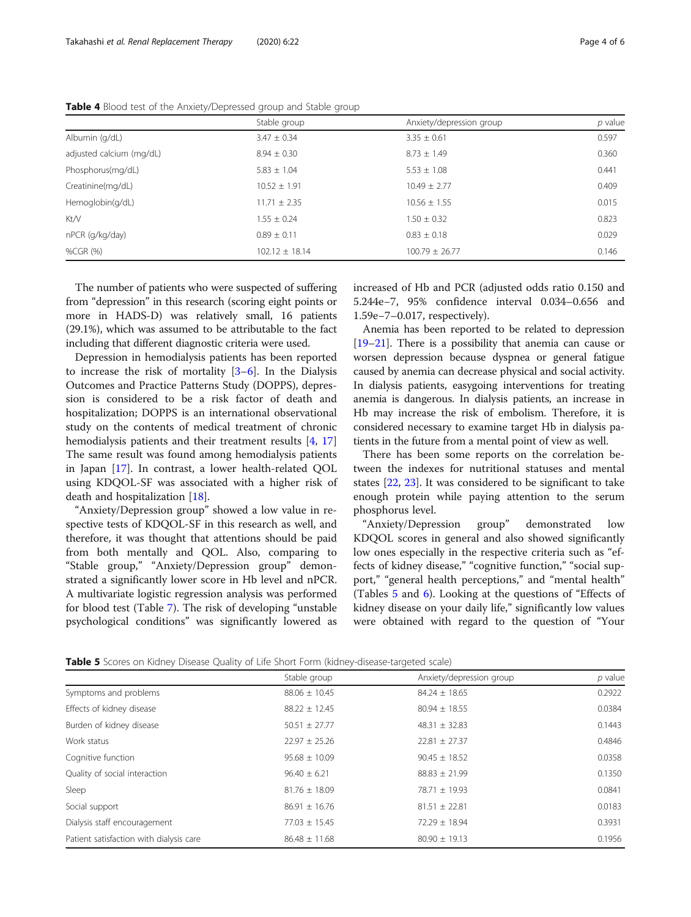|                          | Stable group       | Anxiety/depression group | p value |
|--------------------------|--------------------|--------------------------|---------|
| Albumin (g/dL)           | $3.47 \pm 0.34$    | $3.35 \pm 0.61$          | 0.597   |
| adjusted calcium (mg/dL) | $8.94 \pm 0.30$    | $8.73 \pm 1.49$          | 0.360   |
| Phosphorus(mg/dL)        | $5.83 \pm 1.04$    | $5.53 \pm 1.08$          | 0.441   |
| Creatinine(mg/dL)        | $10.52 \pm 1.91$   | $10.49 \pm 2.77$         | 0.409   |
| Hemoglobin(g/dL)         | $11.71 \pm 2.35$   | $10.56 \pm 1.55$         | 0.015   |
| Kt/V                     | $1.55 \pm 0.24$    | $1.50 \pm 0.32$          | 0.823   |
| nPCR (g/kg/day)          | $0.89 \pm 0.11$    | $0.83 \pm 0.18$          | 0.029   |
| %CGR (%)                 | $102.12 \pm 18.14$ | $100.79 \pm 26.77$       | 0.146   |

<span id="page-3-0"></span>Table 4 Blood test of the Anxiety/Depressed group and Stable group

The number of patients who were suspected of suffering from "depression" in this research (scoring eight points or more in HADS-D) was relatively small, 16 patients (29.1%), which was assumed to be attributable to the fact including that different diagnostic criteria were used.

Depression in hemodialysis patients has been reported to increase the risk of mortality  $[3-6]$  $[3-6]$  $[3-6]$  $[3-6]$  $[3-6]$ . In the Dialysis Outcomes and Practice Patterns Study (DOPPS), depression is considered to be a risk factor of death and hospitalization; DOPPS is an international observational study on the contents of medical treatment of chronic hemodialysis patients and their treatment results [[4,](#page-5-0) [17](#page-5-0)] The same result was found among hemodialysis patients in Japan [\[17](#page-5-0)]. In contrast, a lower health-related QOL using KDQOL-SF was associated with a higher risk of death and hospitalization [[18\]](#page-5-0).

"Anxiety/Depression group" showed a low value in respective tests of KDQOL-SF in this research as well, and therefore, it was thought that attentions should be paid from both mentally and QOL. Also, comparing to "Stable group," "Anxiety/Depression group" demonstrated a significantly lower score in Hb level and nPCR. A multivariate logistic regression analysis was performed for blood test (Table [7](#page-4-0)). The risk of developing "unstable psychological conditions" was significantly lowered as increased of Hb and PCR (adjusted odds ratio 0.150 and 5.244e−7, 95% confidence interval 0.034–0.656 and 1.59e−7–0.017, respectively).

Anemia has been reported to be related to depression [[19](#page-5-0)–[21\]](#page-5-0). There is a possibility that anemia can cause or worsen depression because dyspnea or general fatigue caused by anemia can decrease physical and social activity. In dialysis patients, easygoing interventions for treating anemia is dangerous. In dialysis patients, an increase in Hb may increase the risk of embolism. Therefore, it is considered necessary to examine target Hb in dialysis patients in the future from a mental point of view as well.

There has been some reports on the correlation between the indexes for nutritional statuses and mental states [[22](#page-5-0), [23](#page-5-0)]. It was considered to be significant to take enough protein while paying attention to the serum phosphorus level.

"Anxiety/Depression group" demonstrated low KDQOL scores in general and also showed significantly low ones especially in the respective criteria such as "effects of kidney disease," "cognitive function," "social support," "general health perceptions," and "mental health" (Tables 5 and [6\)](#page-4-0). Looking at the questions of "Effects of kidney disease on your daily life," significantly low values were obtained with regard to the question of "Your

**Table 5** Scores on Kidney Disease Quality of Life Short Form (kidney-disease-targeted scale)

|                                         | Stable group      | Anxiety/depression group | $p$ value |
|-----------------------------------------|-------------------|--------------------------|-----------|
| Symptoms and problems                   | $88.06 \pm 10.45$ | $84.24 \pm 18.65$        | 0.2922    |
| Effects of kidney disease               | $88.22 \pm 12.45$ | $80.94 \pm 18.55$        | 0.0384    |
| Burden of kidney disease                | $50.51 \pm 27.77$ | $48.31 \pm 32.83$        | 0.1443    |
| Work status                             | $22.97 \pm 25.26$ | $22.81 \pm 27.37$        | 0.4846    |
| Cognitive function                      | $95.68 \pm 10.09$ | $90.45 \pm 18.52$        | 0.0358    |
| Quality of social interaction           | $96.40 \pm 6.21$  | $88.83 \pm 21.99$        | 0.1350    |
| Sleep                                   | $81.76 \pm 18.09$ | 78.71 ± 19.93            | 0.0841    |
| Social support                          | $86.91 \pm 16.76$ | $81.51 \pm 22.81$        | 0.0183    |
| Dialysis staff encouragement            | $77.03 \pm 15.45$ | $72.29 \pm 18.94$        | 0.3931    |
| Patient satisfaction with dialysis care | $86.48 \pm 11.68$ | $80.90 \pm 19.13$        | 0.1956    |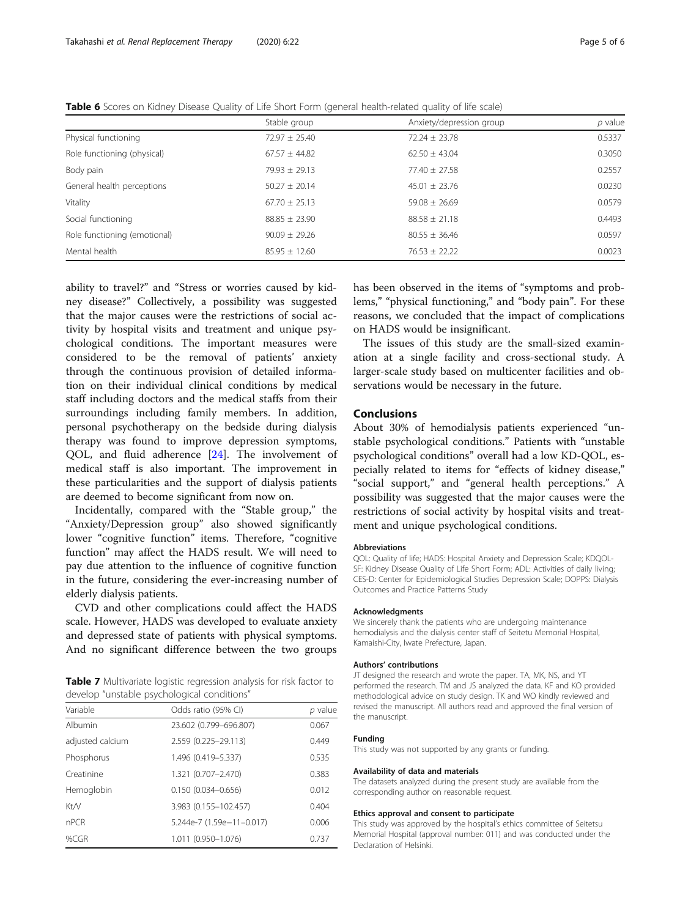<span id="page-4-0"></span>Table 6 Scores on Kidney Disease Quality of Life Short Form (general health-related quality of life scale)

|                              | Stable group      | Anxiety/depression group | p value |
|------------------------------|-------------------|--------------------------|---------|
| Physical functioning         | $72.97 \pm 25.40$ | $72.24 \pm 23.78$        | 0.5337  |
| Role functioning (physical)  | $67.57 \pm 44.82$ | $62.50 \pm 43.04$        | 0.3050  |
| Body pain                    | $79.93 \pm 29.13$ | $77.40 \pm 27.58$        | 0.2557  |
| General health perceptions   | $50.27 + 20.14$   | $45.01 \pm 23.76$        | 0.0230  |
| Vitality                     | $67.70 \pm 25.13$ | $59.08 \pm 26.69$        | 0.0579  |
| Social functioning           | $88.85 \pm 23.90$ | $88.58 \pm 21.18$        | 0.4493  |
| Role functioning (emotional) | $90.09 + 29.26$   | $80.55 \pm 36.46$        | 0.0597  |
| Mental health                | $85.95 \pm 12.60$ | $76.53 \pm 22.22$        | 0.0023  |

ability to travel?" and "Stress or worries caused by kidney disease?" Collectively, a possibility was suggested that the major causes were the restrictions of social activity by hospital visits and treatment and unique psychological conditions. The important measures were considered to be the removal of patients' anxiety through the continuous provision of detailed information on their individual clinical conditions by medical staff including doctors and the medical staffs from their surroundings including family members. In addition, personal psychotherapy on the bedside during dialysis therapy was found to improve depression symptoms, QOL, and fluid adherence [[24](#page-5-0)]. The involvement of medical staff is also important. The improvement in these particularities and the support of dialysis patients are deemed to become significant from now on.

Incidentally, compared with the "Stable group," the "Anxiety/Depression group" also showed significantly lower "cognitive function" items. Therefore, "cognitive function" may affect the HADS result. We will need to pay due attention to the influence of cognitive function in the future, considering the ever-increasing number of elderly dialysis patients.

CVD and other complications could affect the HADS scale. However, HADS was developed to evaluate anxiety and depressed state of patients with physical symptoms. And no significant difference between the two groups

Table 7 Multivariate logistic regression analysis for risk factor to develop "unstable psychological conditions"

| Variable         | Odds ratio (95% CI)       |       |
|------------------|---------------------------|-------|
| Albumin          | 23.602 (0.799-696.807)    | 0.067 |
| adjusted calcium | 2.559 (0.225-29.113)      | 0.449 |
| Phosphorus       | 1.496 (0.419-5.337)       | 0.535 |
| Creatinine       | 1.321 (0.707-2.470)       | 0.383 |
| Hemoglobin       | $0.150(0.034 - 0.656)$    | 0.012 |
| Kt/V             | 3.983 (0.155-102.457)     | 0.404 |
| nPCR             | 5.244e-7 (1.59e-11-0.017) | 0.006 |
| % $CGR$          | 1.011 (0.950-1.076)       | 0.737 |

has been observed in the items of "symptoms and problems," "physical functioning," and "body pain". For these reasons, we concluded that the impact of complications on HADS would be insignificant.

The issues of this study are the small-sized examination at a single facility and cross-sectional study. A larger-scale study based on multicenter facilities and observations would be necessary in the future.

# Conclusions

About 30% of hemodialysis patients experienced "unstable psychological conditions." Patients with "unstable psychological conditions" overall had a low KD-QOL, especially related to items for "effects of kidney disease," "social support," and "general health perceptions." A possibility was suggested that the major causes were the restrictions of social activity by hospital visits and treatment and unique psychological conditions.

#### Abbreviations

QOL: Quality of life; HADS: Hospital Anxiety and Depression Scale; KDQOL-SF: Kidney Disease Quality of Life Short Form; ADL: Activities of daily living; CES-D: Center for Epidemiological Studies Depression Scale; DOPPS: Dialysis Outcomes and Practice Patterns Study

## Acknowledgments

We sincerely thank the patients who are undergoing maintenance hemodialysis and the dialysis center staff of Seitetu Memorial Hospital, Kamaishi-City, Iwate Prefecture, Japan.

#### Authors' contributions

JT designed the research and wrote the paper. TA, MK, NS, and YT performed the research. TM and JS analyzed the data. KF and KO provided methodological advice on study design. TK and WO kindly reviewed and revised the manuscript. All authors read and approved the final version of the manuscript.

### Funding

This study was not supported by any grants or funding.

#### Availability of data and materials

The datasets analyzed during the present study are available from the corresponding author on reasonable request.

# Ethics approval and consent to participate

This study was approved by the hospital's ethics committee of Seitetsu Memorial Hospital (approval number: 011) and was conducted under the Declaration of Helsinki.